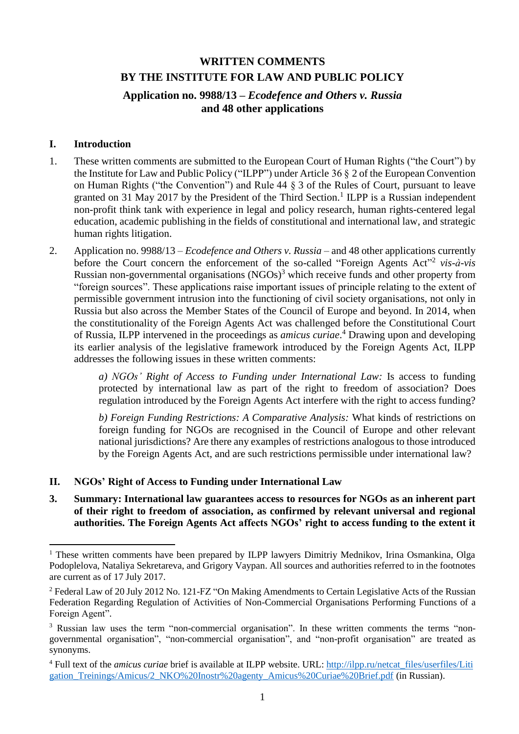# **WRITTEN COMMENTS BY THE INSTITUTE FOR LAW AND PUBLIC POLICY**

### **Application no. 9988/13 –** *Ecodefence and Others v. Russia* **and 48 other applications**

#### **I. Introduction**

- 1. These written comments are submitted to the European Court of Human Rights ("the Court") by the Institute for Law and Public Policy ("ILPP") under Article 36 § 2 of the European Convention on Human Rights ("the Convention") and Rule 44 § 3 of the Rules of Court, pursuant to leave granted on 31 May 2017 by the President of the Third Section.<sup>1</sup> ILPP is a Russian independent non-profit think tank with experience in legal and policy research, human rights-centered legal education, academic publishing in the fields of constitutional and international law, and strategic human rights litigation.
- 2. Application no. 9988/13 *Ecodefence and Others v. Russia* and 48 other applications currently before the Court concern the enforcement of the so-called "Foreign Agents Act"<sup>2</sup> vis-à-vis Russian non-governmental organisations  $(NGOs)^3$  which receive funds and other property from "foreign sources". These applications raise important issues of principle relating to the extent of permissible government intrusion into the functioning of civil society organisations, not only in Russia but also across the Member States of the Council of Europe and beyond. In 2014, when the constitutionality of the Foreign Agents Act was challenged before the Constitutional Court of Russia, ILPP intervened in the proceedings as *amicus curiae*. <sup>4</sup> Drawing upon and developing its earlier analysis of the legislative framework introduced by the Foreign Agents Act, ILPP addresses the following issues in these written comments:

*a) NGOs' Right of Access to Funding under International Law:* Is access to funding protected by international law as part of the right to freedom of association? Does regulation introduced by the Foreign Agents Act interfere with the right to access funding?

*b) Foreign Funding Restrictions: A Comparative Analysis:* What kinds of restrictions on foreign funding for NGOs are recognised in the Council of Europe and other relevant national jurisdictions? Are there any examples of restrictions analogous to those introduced by the Foreign Agents Act, and are such restrictions permissible under international law?

#### **II. NGOs' Right of Access to Funding under International Law**

**3. Summary: International law guarantees access to resources for NGOs as an inherent part of their right to freedom of association, as confirmed by relevant universal and regional authorities. The Foreign Agents Act affects NGOs' right to access funding to the extent it** 

<sup>1</sup> <sup>1</sup> These written comments have been prepared by ILPP lawyers Dimitriy Mednikov, Irina Osmankina, Olga Podoplelova, Nataliya Sekretareva, and Grigory Vaypan. All sources and authorities referred to in the footnotes are current as of 17 July 2017.

<sup>&</sup>lt;sup>2</sup> Federal Law of 20 July 2012 No. 121-FZ "On Making Amendments to Certain Legislative Acts of the Russian Federation Regarding Regulation of Activities of Non-Commercial Organisations Performing Functions of a Foreign Agent".

<sup>&</sup>lt;sup>3</sup> Russian law uses the term "non-commercial organisation". In these written comments the terms "nongovernmental organisation", "non-commercial organisation", and "non-profit organisation" are treated as synonyms.

<sup>&</sup>lt;sup>4</sup> Full text of the *amicus curiae* brief is available at ILPP website. URL: [http://ilpp.ru/netcat\\_files/userfiles/Liti](http://ilpp.ru/netcat_files/userfiles/Litigation_Treinings/Amicus/2_NKO%20Inostr%20agenty_Amicus%20Curiae%20Brief.pdf) [gation\\_Treinings/Amicus/2\\_NKO%20Inostr%20agenty\\_Amicus%20Curiae%20Brief.pdf](http://ilpp.ru/netcat_files/userfiles/Litigation_Treinings/Amicus/2_NKO%20Inostr%20agenty_Amicus%20Curiae%20Brief.pdf) (in Russian).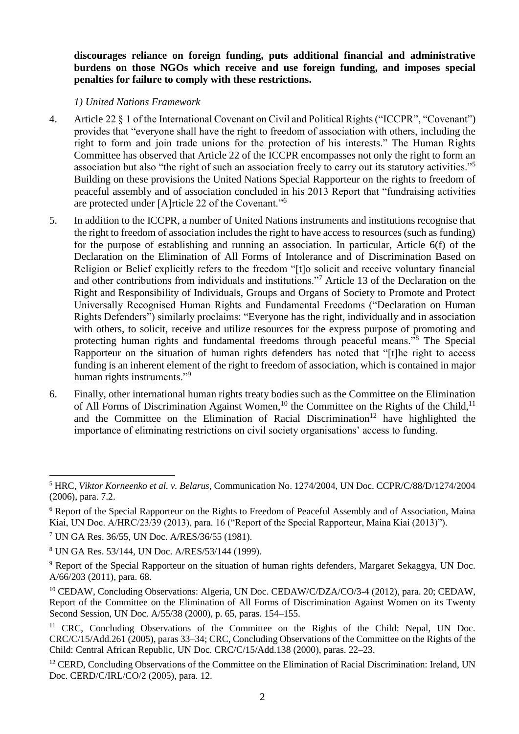**discourages reliance on foreign funding, puts additional financial and administrative burdens on those NGOs which receive and use foreign funding, and imposes special penalties for failure to comply with these restrictions.**

#### *1) United Nations Framework*

- 4. Article 22 § 1 of the International Covenant on Civil and Political Rights ("ICCPR", "Covenant") provides that "everyone shall have the right to freedom of association with others, including the right to form and join trade unions for the protection of his interests." The Human Rights Committee has observed that Article 22 of the ICCPR encompasses not only the right to form an association but also "the right of such an association freely to carry out its statutory activities."<sup>5</sup> Building on these provisions the United Nations Special Rapporteur on the rights to freedom of peaceful assembly and of association concluded in his 2013 Report that "fundraising activities are protected under [A]rticle 22 of the Covenant."<sup>6</sup>
- 5. In addition to the ICCPR, a number of United Nations instruments and institutions recognise that the right to freedom of association includes the right to have access to resources (such as funding) for the purpose of establishing and running an association. In particular, Article 6(f) of the Declaration on the Elimination of All Forms of Intolerance and of Discrimination Based on Religion or Belief explicitly refers to the freedom "[t]o solicit and receive voluntary financial and other contributions from individuals and institutions."<sup>7</sup> Article 13 of the Declaration on the Right and Responsibility of Individuals, Groups and Organs of Society to Promote and Protect Universally Recognised Human Rights and Fundamental Freedoms ("Declaration on Human Rights Defenders") similarly proclaims: "Everyone has the right, individually and in association with others, to solicit, receive and utilize resources for the express purpose of promoting and protecting human rights and fundamental freedoms through peaceful means."<sup>8</sup> The Special Rapporteur on the situation of human rights defenders has noted that "[t]he right to access funding is an inherent element of the right to freedom of association, which is contained in major human rights instruments."<sup>9</sup>
- 6. Finally, other international human rights treaty bodies such as the Committee on the Elimination of All Forms of Discrimination Against Women,<sup>10</sup> the Committee on the Rights of the Child,<sup>11</sup> and the Committee on the Elimination of Racial Discrimination<sup>12</sup> have highlighted the importance of eliminating restrictions on civil society organisations' access to funding.

**<sup>.</sup>** <sup>5</sup> HRC, *Viktor Korneenko et al. v. Belarus*, Communication No. 1274/2004, UN Doc. CCPR/C/88/D/1274/2004 (2006), para. 7.2.

<sup>6</sup> Report of the Special Rapporteur on the Rights to Freedom of Peaceful Assembly and of Association, Maina Kiai, UN Doc. A/HRC/23/39 (2013), para. 16 ("Report of the Special Rapporteur, Maina Kiai (2013)").

<sup>7</sup> UN GA Res. 36/55, UN Doc. A/RES/36/55 (1981).

<sup>8</sup> UN GA Res. 53/144, UN Doc. A/RES/53/144 (1999).

<sup>9</sup> Report of the Special Rapporteur on the situation of human rights defenders, Margaret Sekaggya, UN Doc. A/66/203 (2011), para. 68.

<sup>&</sup>lt;sup>10</sup> CEDAW, Concluding Observations: Algeria, UN Doc. CEDAW/C/DZA/CO/3-4 (2012), para. 20; CEDAW, Report of the Committee on the Elimination of All Forms of Discrimination Against Women on its Twenty Second Session, UN Doc. A/55/38 (2000), p. 65, paras. 154–155.

<sup>&</sup>lt;sup>11</sup> CRC, Concluding Observations of the Committee on the Rights of the Child: Nepal, UN Doc. CRC/C/15/Add.261 (2005), paras 33–34; CRC, Concluding Observations of the Committee on the Rights of the Child: Central African Republic, UN Doc. CRC/C/15/Add.138 (2000), paras. 22–23.

<sup>&</sup>lt;sup>12</sup> CERD, Concluding Observations of the Committee on the Elimination of Racial Discrimination: Ireland, UN Doc. CERD/C/IRL/CO/2 (2005), para. 12.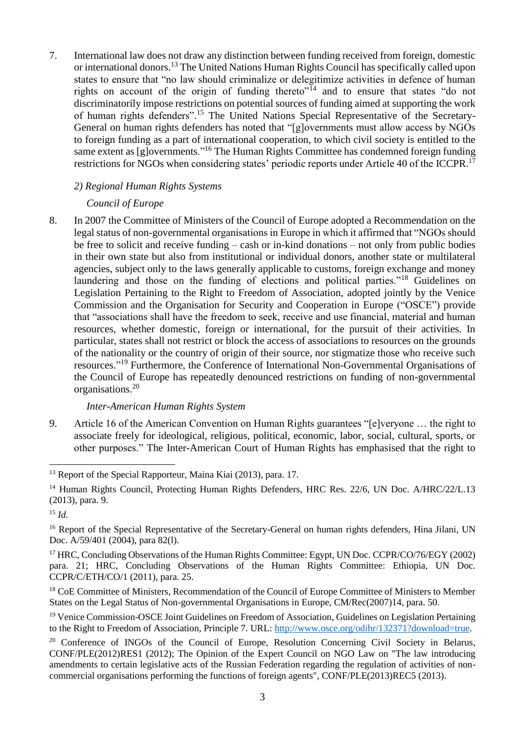7. International law does not draw any distinction between funding received from foreign, domestic or international donors.<sup>13</sup> The United Nations Human Rights Council has specifically called upon states to ensure that "no law should criminalize or delegitimize activities in defence of human rights on account of the origin of funding thereto<sup> $n\bar{1}4$ </sup> and to ensure that states "do not discriminatorily impose restrictions on potential sources of funding aimed at supporting the work of human rights defenders".<sup>15</sup> The United Nations Special Representative of the Secretary-General on human rights defenders has noted that "[g]overnments must allow access by NGOs to foreign funding as a part of international cooperation, to which civil society is entitled to the same extent as [g]overnments."<sup>16</sup> The Human Rights Committee has condemned foreign funding restrictions for NGOs when considering states' periodic reports under Article 40 of the ICCPR.<sup>17</sup>

#### *2) Regional Human Rights Systems*

#### *Council of Europe*

8. In 2007 the Committee of Ministers of the Council of Europe adopted a Recommendation on the legal status of non-governmental organisations in Europe in which it affirmed that "NGOs should be free to solicit and receive funding – cash or in-kind donations – not only from public bodies in their own state but also from institutional or individual donors, another state or multilateral agencies, subject only to the laws generally applicable to customs, foreign exchange and money laundering and those on the funding of elections and political parties."<sup>18</sup> Guidelines on Legislation Pertaining to the Right to Freedom of Association, adopted jointly by the Venice Commission and the Organisation for Security and Cooperation in Europe ("OSCE") provide that "associations shall have the freedom to seek, receive and use financial, material and human resources, whether domestic, foreign or international, for the pursuit of their activities. In particular, states shall not restrict or block the access of associations to resources on the grounds of the nationality or the country of origin of their source, nor stigmatize those who receive such resources."<sup>19</sup> Furthermore, the Conference of International Non-Governmental Organisations of the Council of Europe has repeatedly denounced restrictions on funding of non-governmental organisations.<sup>20</sup>

#### *Inter-American Human Rights System*

9. Article 16 of the American Convention on Human Rights guarantees "[e]veryone … the right to associate freely for ideological, religious, political, economic, labor, social, cultural, sports, or other purposes." The Inter-American Court of Human Rights has emphasised that the right to

1

<sup>&</sup>lt;sup>13</sup> Report of the Special Rapporteur, Maina Kiai (2013), para. 17.

<sup>&</sup>lt;sup>14</sup> Human Rights Council, Protecting Human Rights Defenders, HRC Res. 22/6, UN Doc. A/HRC/22/L.13 (2013), para. 9.

<sup>15</sup> *Id.*

<sup>&</sup>lt;sup>16</sup> Report of the Special Representative of the Secretary-General on human rights defenders, Hina Jilani, UN Doc. A/59/401 (2004), para 82(1).

<sup>&</sup>lt;sup>17</sup> HRC, Concluding Observations of the Human Rights Committee: Egypt, UN Doc. CCPR/CO/76/EGY (2002) para. 21; HRC, Concluding Observations of the Human Rights Committee: Ethiopia, UN Doc. CCPR/C/ETH/CO/1 (2011), para. 25.

<sup>&</sup>lt;sup>18</sup> CoE Committee of Ministers, Recommendation of the Council of Europe Committee of Ministers to Member States on the Legal Status of Non-governmental Organisations in Europe, CM/Rec(2007)14, para. 50.

<sup>&</sup>lt;sup>19</sup> Venice Commission-OSCE Joint Guidelines on Freedom of Association, Guidelines on Legislation Pertaining to the Right to Freedom of Association, Principle 7. URL: [http://www.osce.org/odihr/132371?download=true.](http://www.osce.org/odihr/132371?download=true)

<sup>&</sup>lt;sup>20</sup> Conference of INGOs of the Council of Europe, Resolution Concerning Civil Society in Belarus, CONF/PLE(2012)RES1 (2012); The Opinion of the Expert Council on NGO Law on "The law introducing amendments to certain legislative acts of the Russian Federation regarding the regulation of activities of noncommercial organisations performing the functions of foreign agents", CONF/PLE(2013)REC5 (2013).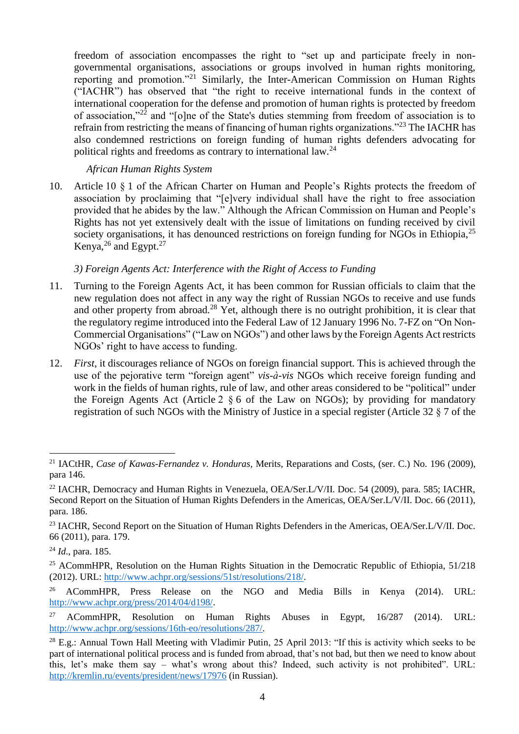freedom of association encompasses the right to "set up and participate freely in nongovernmental organisations, associations or groups involved in human rights monitoring, reporting and promotion."<sup>21</sup> Similarly, the Inter-American Commission on Human Rights ("IACHR") has observed that "the right to receive international funds in the context of international cooperation for the defense and promotion of human rights is protected by freedom of association,"<sup>22</sup> and "[o]ne of the State's duties stemming from freedom of association is to refrain from restricting the means of financing of human rights organizations."<sup>23</sup> The IACHR has also condemned restrictions on foreign funding of human rights defenders advocating for political rights and freedoms as contrary to international law.<sup>24</sup>

### *African Human Rights System*

10. Article 10 § 1 of the African Charter on Human and People's Rights protects the freedom of association by proclaiming that "[e]very individual shall have the right to free association provided that he abides by the law." Although the African Commission on Human and People's Rights has not yet extensively dealt with the issue of limitations on funding received by civil society organisations, it has denounced restrictions on foreign funding for NGOs in Ethiopia.<sup>25</sup> Kenya,  $^{26}$  and Egypt.<sup>27</sup>

## *3) Foreign Agents Act: Interference with the Right of Access to Funding*

- 11. Turning to the Foreign Agents Act, it has been common for Russian officials to claim that the new regulation does not affect in any way the right of Russian NGOs to receive and use funds and other property from abroad.<sup>28</sup> Yet, although there is no outright prohibition, it is clear that the regulatory regime introduced into the Federal Law of 12 January 1996 No. 7-FZ on "On Non-Commercial Organisations" ("Law on NGOs") and other laws by the Foreign Agents Act restricts NGOs' right to have access to funding.
- 12. *First*, it discourages reliance of NGOs on foreign financial support. This is achieved through the use of the pejorative term "foreign agent" *vis-à-vis* NGOs which receive foreign funding and work in the fields of human rights, rule of law, and other areas considered to be "political" under the Foreign Agents Act (Article 2 § 6 of the Law on NGOs); by providing for mandatory registration of such NGOs with the Ministry of Justice in a special register (Article 32 § 7 of the

<sup>1</sup> <sup>21</sup> IACtHR, *Case of Kawas-Fernandez v. Honduras*, Merits, Reparations and Costs, (ser. C.) No. 196 (2009), para 146.

<sup>&</sup>lt;sup>22</sup> IACHR, Democracy and Human Rights in Venezuela, OEA/Ser.L/V/II, Doc. 54 (2009), para. 585; IACHR, Second Report on the Situation of Human Rights Defenders in the Americas, OEA/Ser.L/V/II. Doc. 66 (2011), para. 186.

<sup>&</sup>lt;sup>23</sup> IACHR, Second Report on the Situation of Human Rights Defenders in the Americas, OEA/Ser.L/V/II. Doc. 66 (2011), para. 179.

<sup>24</sup> *Id*., para. 185.

<sup>&</sup>lt;sup>25</sup> ACommHPR, Resolution on the Human Rights Situation in the Democratic Republic of Ethiopia, 51/218 (2012). URL: [http://www.achpr.org/sessions/51st/resolutions/218/.](http://www.achpr.org/sessions/51st/resolutions/218/)

<sup>&</sup>lt;sup>26</sup> ACommHPR, Press Release on the NGO and Media Bills in Kenya (2014). URL: [http://www.achpr.org/press/2014/04/d198/.](http://www.achpr.org/press/2014/04/d198/)

<sup>&</sup>lt;sup>27</sup> ACommHPR, Resolution on Human Rights Abuses in Egypt,  $16/287$  (2014). URL: [http://www.achpr.org/sessions/16th-eo/resolutions/287/.](http://www.achpr.org/sessions/16th-eo/resolutions/287/)

<sup>&</sup>lt;sup>28</sup> E.g.: Annual Town Hall Meeting with Vladimir Putin, 25 April 2013: "If this is activity which seeks to be part of international political process and is funded from abroad, that's not bad, but then we need to know about this, let's make them say – what's wrong about this? Indeed, such activity is not prohibited". URL: <http://kremlin.ru/events/president/news/17976> (in Russian).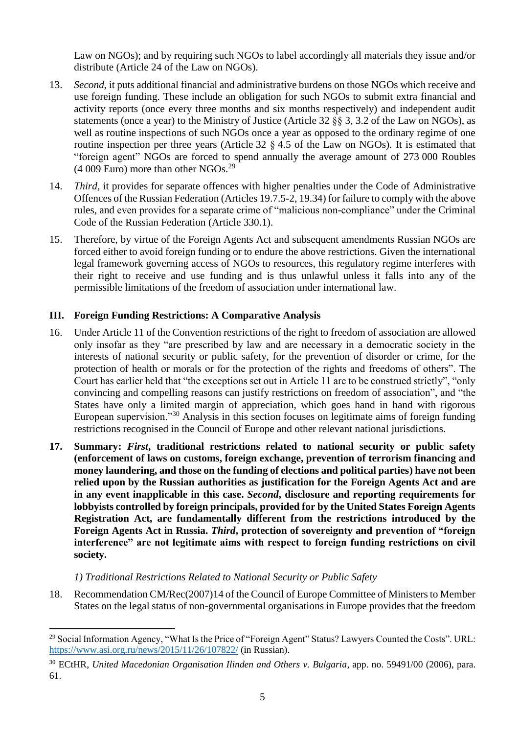Law on NGOs); and by requiring such NGOs to label accordingly all materials they issue and/or distribute (Article 24 of the Law on NGOs).

- 13. *Second*, it puts additional financial and administrative burdens on those NGOs which receive and use foreign funding. These include an obligation for such NGOs to submit extra financial and activity reports (once every three months and six months respectively) and independent audit statements (once a year) to the Ministry of Justice (Article 32 §§ 3, 3.2 of the Law on NGOs), as well as routine inspections of such NGOs once a year as opposed to the ordinary regime of one routine inspection per three years (Article 32 § 4.5 of the Law on NGOs). It is estimated that "foreign agent" NGOs are forced to spend annually the average amount of 273 000 Roubles  $(4009)$  Euro) more than other NGOs.<sup>29</sup>
- 14. *Third,* it provides for separate offences with higher penalties under the Code of Administrative Offences of the Russian Federation (Articles 19.7.5-2, 19.34) for failure to comply with the above rules, and even provides for a separate crime of "malicious non-compliance" under the Criminal Code of the Russian Federation (Article 330.1).
- 15. Therefore, by virtue of the Foreign Agents Act and subsequent amendments Russian NGOs are forced either to avoid foreign funding or to endure the above restrictions. Given the international legal framework governing access of NGOs to resources, this regulatory regime interferes with their right to receive and use funding and is thus unlawful unless it falls into any of the permissible limitations of the freedom of association under international law.

## **III. Foreign Funding Restrictions: A Comparative Analysis**

- 16. Under Article 11 of the Convention restrictions of the right to freedom of association are allowed only insofar as they "are prescribed by law and are necessary in a democratic society in the interests of national security or public safety, for the prevention of disorder or crime, for the protection of health or morals or for the protection of the rights and freedoms of others". The Court has earlier held that "the exceptions set out in Article 11 are to be construed strictly", "only convincing and compelling reasons can justify restrictions on freedom of association", and "the States have only a limited margin of appreciation, which goes hand in hand with rigorous European supervision."<sup>30</sup> Analysis in this section focuses on legitimate aims of foreign funding restrictions recognised in the Council of Europe and other relevant national jurisdictions.
- **17. Summary:** *First***, traditional restrictions related to national security or public safety (enforcement of laws on customs, foreign exchange, prevention of terrorism financing and money laundering, and those on the funding of elections and political parties) have not been relied upon by the Russian authorities as justification for the Foreign Agents Act and are in any event inapplicable in this case.** *Second***, disclosure and reporting requirements for lobbyists controlled by foreign principals, provided for by the United States Foreign Agents Registration Act, are fundamentally different from the restrictions introduced by the Foreign Agents Act in Russia.** *Third***, protection of sovereignty and prevention of "foreign interference" are not legitimate aims with respect to foreign funding restrictions on civil society.**

#### *1) Traditional Restrictions Related to National Security or Public Safety*

**.** 

18. Recommendation CM/Rec(2007)14 of the Council of Europe Committee of Ministers to Member States on the legal status of non-governmental organisations in Europe provides that the freedom

<sup>&</sup>lt;sup>29</sup> Social Information Agency, "What Is the Price of "Foreign Agent" Status? Lawyers Counted the Costs". URL: <https://www.asi.org.ru/news/2015/11/26/107822/> (in Russian).

<sup>30</sup> ECtHR, *United Macedonian Organisation Ilinden and Others v. Bulgaria*, app. no. 59491/00 (2006), para. 61.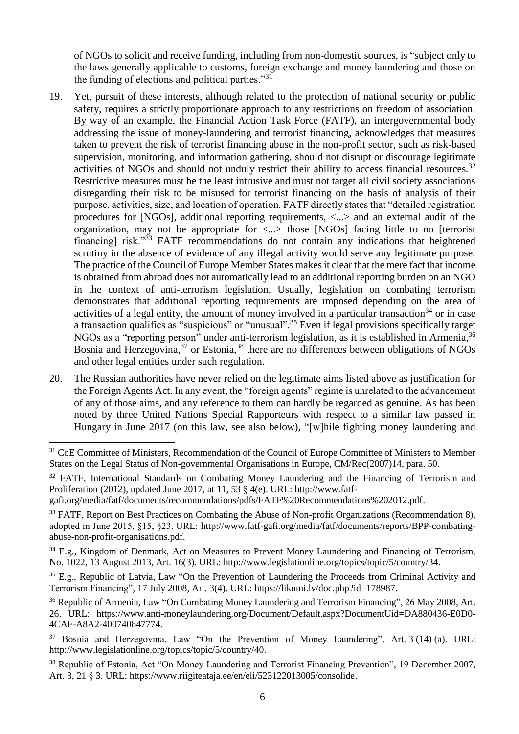of NGOs to solicit and receive funding, including from non-domestic sources, is "subject only to the laws generally applicable to customs, foreign exchange and money laundering and those on the funding of elections and political parties. $131$ 

- 19. Yet, pursuit of these interests, although related to the protection of national security or public safety, requires a strictly proportionate approach to any restrictions on freedom of association. By way of an example, the Financial Action Task Force (FATF), an intergovernmental body addressing the issue of money-laundering and terrorist financing, acknowledges that measures taken to prevent the risk of terrorist financing abuse in the non-profit sector, such as risk-based supervision, monitoring, and information gathering, should not disrupt or discourage legitimate activities of NGOs and should not unduly restrict their ability to access financial resources.<sup>32</sup> Restrictive measures must be the least intrusive and must not target all civil society associations disregarding their risk to be misused for terrorist financing on the basis of analysis of their purpose, activities, size, and location of operation. FATF directly states that "detailed registration procedures for [NGOs], additional reporting requirements, <...> and an external audit of the organization, may not be appropriate for <...> those [NGOs] facing little to no [terrorist financing] risk."<sup>33</sup> FATF recommendations do not contain any indications that heightened scrutiny in the absence of evidence of any illegal activity would serve any legitimate purpose. The practice of the Council of Europe Member States makes it clear that the mere fact that income is obtained from abroad does not automatically lead to an additional reporting burden on an NGO in the context of anti-terrorism legislation. Usually, legislation on combating terrorism demonstrates that additional reporting requirements are imposed depending on the area of activities of a legal entity, the amount of money involved in a particular transaction<sup>34</sup> or in case a transaction qualifies as "suspicious" or "unusual".<sup>35</sup> Even if legal provisions specifically target NGOs as a "reporting person" under anti-terrorism legislation, as it is established in Armenia,<sup>36</sup> Bosnia and Herzegovina,  $37$  or Estonia,  $38$  there are no differences between obligations of NGOs and other legal entities under such regulation.
- 20. The Russian authorities have never relied on the legitimate aims listed above as justification for the Foreign Agents Act. In any event, the "foreign agents" regime is unrelated to the advancement of any of those aims, and any reference to them can hardly be regarded as genuine. As has been noted by three United Nations Special Rapporteurs with respect to a similar law passed in Hungary in June 2017 (on this law, see also below), "[w]hile fighting money laundering and

<sup>32</sup> FATF, International Standards on Combating Money Laundering and the Financing of Terrorism and Proliferation (2012), updated June 2017, at 11, 53 § 4(e). URL: [http://www.fatf-](http://www.fatf-gafi.org/media/fatf/documents/recommendations/pdfs/FATF%20Recommendations%202012.pdf)

[gafi.org/media/fatf/documents/recommendations/pdfs/FATF%20Recommendations%202012.pdf.](http://www.fatf-gafi.org/media/fatf/documents/recommendations/pdfs/FATF%20Recommendations%202012.pdf)

**.** 

<sup>33</sup> FATF, Report on Best Practices on Combating the Abuse of Non-profit Organizations (Recommendation 8), adopted in June 2015, §15, §23. URL: [http://www.fatf-gafi.org/media/fatf/documents/reports/BPP-combating](http://www.fatf-gafi.org/media/fatf/documents/reports/BPP-combating-abuse-non-profit-organisations.pdf)[abuse-non-profit-organisations.pdf.](http://www.fatf-gafi.org/media/fatf/documents/reports/BPP-combating-abuse-non-profit-organisations.pdf)

 $34$  E.g., Kingdom of Denmark, Act on Measures to Prevent Money Laundering and Financing of Terrorism, No. 1022, 13 August 2013, Art. 16(3). URL: [http://www.legislationline.org/topics/topic/5/country/34.](http://www.legislationline.org/topics/topic/5/country/34)

<sup>35</sup> E.g., Republic of Latvia, Law "On the Prevention of Laundering the Proceeds from Criminal Activity and Terrorism Financing", 17 July 2008, Art. 3(4). URL: [https://likumi.lv/doc.php?id=178987.](https://likumi.lv/doc.php?id=178987)

<sup>36</sup> Republic of Armenia, Law "On Combating Money Laundering and Terrorism Financing", 26 May 2008, Art. 26. URL: https://www.anti-moneylaundering.org/Document/Default.aspx?DocumentUid=DA880436-E0D0- 4CAF-A8A2-400740847774.

<sup>37</sup> Bosnia and Herzegovina, Law "On the Prevention of Money Laundering", Art. 3 (14) (a). URL: [http://www.legislationline.org/topics/topic/5/country/40.](http://www.legislationline.org/topics/topic/5/country/40)

<sup>38</sup> Republic of Estonia, Act "On Money Laundering and Terrorist Financing Prevention", 19 December 2007, Art. 3, 21 § 3. URL[: https://www.riigiteataja.ee/en/eli/523122013005/consolide.](https://www.riigiteataja.ee/en/eli/523122013005/consolide)

<sup>&</sup>lt;sup>31</sup> CoE Committee of Ministers, Recommendation of the Council of Europe Committee of Ministers to Member States on the Legal Status of Non-governmental Organisations in Europe, CM/Rec(2007)14, para. 50.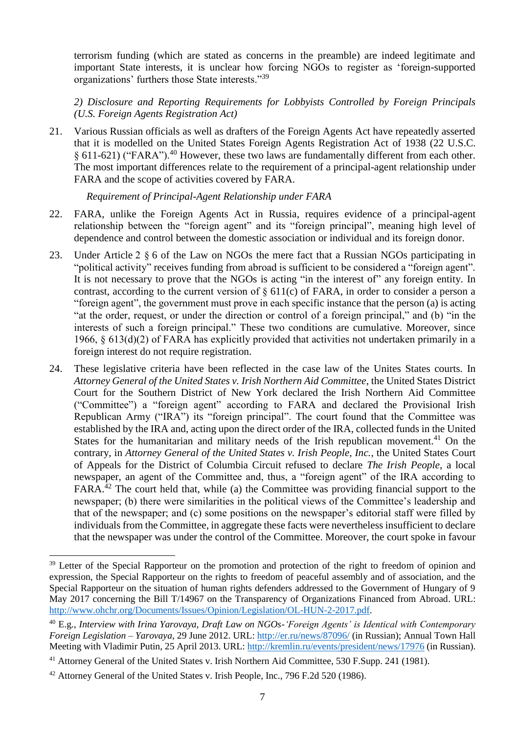terrorism funding (which are stated as concerns in the preamble) are indeed legitimate and important State interests, it is unclear how forcing NGOs to register as 'foreign-supported organizations' furthers those State interests."<sup>39</sup>

*2) Disclosure and Reporting Requirements for Lobbyists Controlled by Foreign Principals (U.S. Foreign Agents Registration Act)*

21. Various Russian officials as well as drafters of the Foreign Agents Act have repeatedly asserted that it is modelled on the United States Foreign Agents Registration Act of 1938 (22 U.S.C. § 611-621) ("FARA").<sup>40</sup> However, these two laws are fundamentally different from each other. The most important differences relate to the requirement of a principal-agent relationship under FARA and the scope of activities covered by FARA.

*Requirement of Principal-Agent Relationship under FARA*

- 22. FARA, unlike the Foreign Agents Act in Russia, requires evidence of a principal-agent relationship between the "foreign agent" and its "foreign principal", meaning high level of dependence and control between the domestic association or individual and its foreign donor.
- 23. Under Article 2 § 6 of the Law on NGOs the mere fact that a Russian NGOs participating in "political activity" receives funding from abroad is sufficient to be considered a "foreign agent". It is not necessary to prove that the NGOs is acting "in the interest of" any foreign entity. In contrast, according to the current version of  $\S 611(c)$  of FARA, in order to consider a person a "foreign agent", the government must prove in each specific instance that the person (a) is acting "at the order, request, or under the direction or control of a foreign principal," and (b) "in the interests of such a foreign principal." These two conditions are cumulative. Moreover, since 1966, § 613(d)(2) of FARA has explicitly provided that activities not undertaken primarily in a foreign interest do not require registration.
- 24. These legislative criteria have been reflected in the case law of the Unites States courts. In *Attorney General of the United States v. Irish Northern Aid Committee*, the United States District Court for the Southern District of New York declared the Irish Northern Aid Committee ("Committee") a "foreign agent" according to FARA and declared the Provisional Irish Republican Army ("IRA") its "foreign principal". The court found that the Committee was established by the IRA and, acting upon the direct order of the IRA, collected funds in the United States for the humanitarian and military needs of the Irish republican movement.<sup>41</sup> On the contrary, in *Attorney General of the United States v. Irish People, Inc.*, the United States Court of Appeals for the District of Columbia Circuit refused to declare *The Irish People*, a local newspaper, an agent of the Committee and, thus, a "foreign agent" of the IRA according to FARA.<sup>42</sup> The court held that, while (a) the Committee was providing financial support to the newspaper; (b) there were similarities in the political views of the Committee's leadership and that of the newspaper; and (c) some positions on the newspaper's editorial staff were filled by individuals from the Committee, in aggregate these facts were nevertheless insufficient to declare that the newspaper was under the control of the Committee. Moreover, the court spoke in favour

**.** 

<sup>&</sup>lt;sup>39</sup> Letter of the Special Rapporteur on the promotion and protection of the right to freedom of opinion and expression, the Special Rapporteur on the rights to freedom of peaceful assembly and of association, and the Special Rapporteur on the situation of human rights defenders addressed to the Government of Hungary of 9 May 2017 concerning the Bill T/14967 on the Transparency of Organizations Financed from Abroad. URL: [http://www.ohchr.org/Documents/Issues/Opinion/Legislation/OL-HUN-2-2017.pdf.](http://www.ohchr.org/Documents/Issues/Opinion/Legislation/OL-HUN-2-2017.pdf)

<sup>40</sup> E.g., *Interview with Irina Yarovaya, Draft Law on NGOs-'Foreign Agents' is Identical with Contemporary Foreign Legislation – Yarovaya*, 29 June 2012. URL:<http://er.ru/news/87096/> (in Russian); Annual Town Hall Meeting with Vladimir Putin, 25 April 2013. URL:<http://kremlin.ru/events/president/news/17976> (in Russian).

<sup>&</sup>lt;sup>41</sup> Attorney General of the United States v. Irish Northern Aid Committee, 530 F.Supp. 241 (1981).

<sup>42</sup> Attorney General of the United States v. Irish People, Inc., 796 F.2d 520 (1986).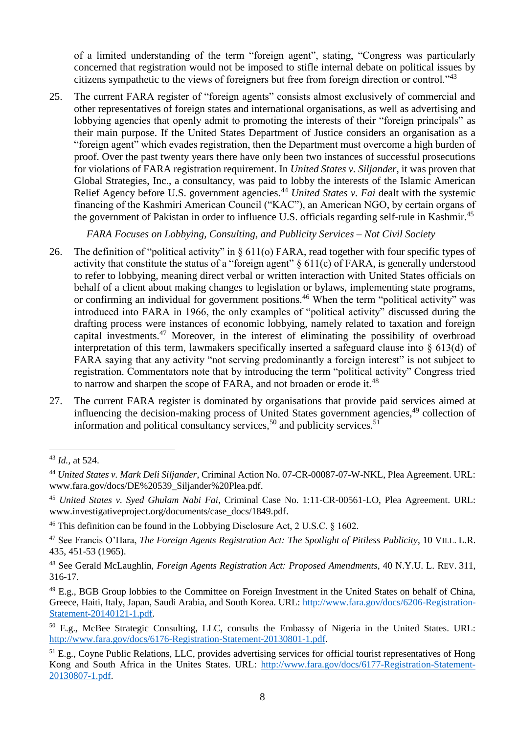of a limited understanding of the term "foreign agent", stating, "Congress was particularly concerned that registration would not be imposed to stifle internal debate on political issues by citizens sympathetic to the views of foreigners but free from foreign direction or control."<sup>43</sup>

25. The current FARA register of "foreign agents" consists almost exclusively of commercial and other representatives of foreign states and international organisations, as well as advertising and lobbying agencies that openly admit to promoting the interests of their "foreign principals" as their main purpose. If the United States Department of Justice considers an organisation as a "foreign agent" which evades registration, then the Department must overcome a high burden of proof. Over the past twenty years there have only been two instances of successful prosecutions for violations of FARA registration requirement. In *United States v. Siljander*, it was proven that Global Strategies, Inc., a consultancy, was paid to lobby the interests of the Islamic American Relief Agency before U.S. government agencies.<sup>44</sup> *United States v. Fai* dealt with the systemic financing of the Kashmiri American Council ("KAC"), an American NGO, by certain organs of the government of Pakistan in order to influence U.S. officials regarding self-rule in Kashmir.<sup>45</sup>

*FARA Focuses on Lobbying, Consulting, and Publicity Services – Not Civil Society*

- 26. The definition of "political activity" in § 611(o) FARA, read together with four specific types of activity that constitute the status of a "foreign agent" § 611(c) of FARA, is generally understood to refer to lobbying, meaning direct verbal or written interaction with United States officials on behalf of a client about making changes to legislation or bylaws, implementing state programs, or confirming an individual for government positions.<sup>46</sup> When the term "political activity" was introduced into FARA in 1966, the only examples of "political activity" discussed during the drafting process were instances of economic lobbying, namely related to taxation and foreign capital investments.<sup>47</sup> Moreover, in the interest of eliminating the possibility of overbroad interpretation of this term, lawmakers specifically inserted a safeguard clause into § 613(d) of FARA saying that any activity "not serving predominantly a foreign interest" is not subject to registration. Commentators note that by introducing the term "political activity" Congress tried to narrow and sharpen the scope of FARA, and not broaden or erode it.<sup>48</sup>
- 27. The current FARA register is dominated by organisations that provide paid services aimed at influencing the decision-making process of United States government agencies,<sup>49</sup> collection of information and political consultancy services,<sup>50</sup> and publicity services.<sup>51</sup>

**.** 

<sup>43</sup> *Id.*, at 524.

<sup>44</sup> *United States v. Mark Deli Siljander*, Criminal Action No. 07-CR-00087-07-W-NKL, Plea Agreement. URL: www.fara.gov/docs/DE%20539\_Siljander%20Plea.pdf.

<sup>45</sup> *United States v. Syed Ghulam Nabi Fai*, Criminal Case No. 1:11-CR-00561-LO, Plea Agreement. URL: www.investigativeproject.org/documents/case\_docs/1849.pdf.

<sup>46</sup> This definition can be found in the Lobbying Disclosure Act, 2 U.S.C. § 1602.

<sup>47</sup> See Francis O'Hara, *The Foreign Agents Registration Act: The Spotlight of Pitiless Publicity*, 10 VILL. L.R. 435, 451-53 (1965).

<sup>48</sup> See Gerald McLaughlin, *Foreign Agents Registration Act: Proposed Amendments*, 40 N.Y.U. L. REV. 311, 316-17.

<sup>49</sup> E.g., BGB Group lobbies to the Committee on Foreign Investment in the United States on behalf of China, Greece, Haiti, Italy, Japan, Saudi Arabia, and South Korea. URL: [http://www.fara.gov/docs/6206-Registration-](http://www.fara.gov/docs/6206-Registration-Statement-20140121-1.pdf)[Statement-20140121-1.pdf.](http://www.fara.gov/docs/6206-Registration-Statement-20140121-1.pdf)

<sup>50</sup> E.g., McBee Strategic Consulting, LLC, consults the Embassy of Nigeria in the United States. URL: [http://www.fara.gov/docs/6176-Registration-Statement-20130801-1.pdf.](http://www.fara.gov/docs/6176-Registration-Statement-20130801-1.pdf)

<sup>&</sup>lt;sup>51</sup> E.g., Coyne Public Relations, LLC, provides advertising services for official tourist representatives of Hong Kong and South Africa in the Unites States. URL: [http://www.fara.gov/docs/6177-Registration-Statement-](http://www.fara.gov/docs/6177-Registration-Statement-20130807-1.pdf)[20130807-1.pdf.](http://www.fara.gov/docs/6177-Registration-Statement-20130807-1.pdf)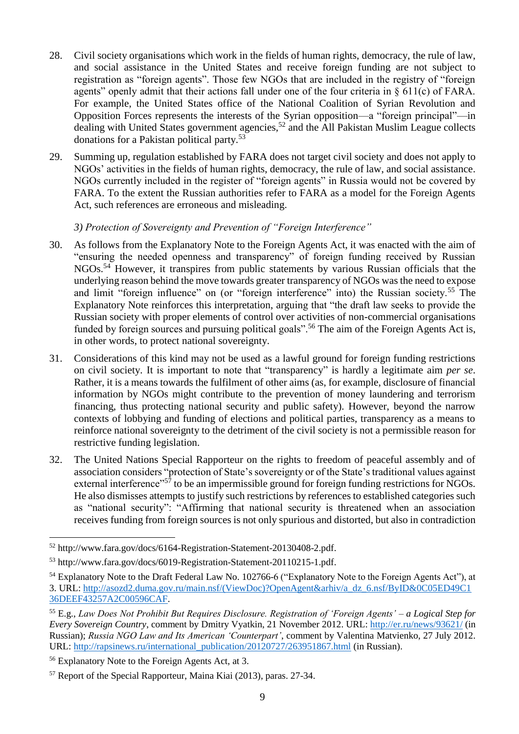- 28. Civil society organisations which work in the fields of human rights, democracy, the rule of law, and social assistance in the United States and receive foreign funding are not subject to registration as "foreign agents". Those few NGOs that are included in the registry of "foreign agents" openly admit that their actions fall under one of the four criteria in § 611(c) of FARA. For example, the United States office of the National Coalition of Syrian Revolution and Opposition Forces represents the interests of the Syrian opposition—a "foreign principal"—in dealing with United States government agencies,<sup>52</sup> and the All Pakistan Muslim League collects donations for a Pakistan political party.<sup>53</sup>
- 29. Summing up, regulation established by FARA does not target civil society and does not apply to NGOs' activities in the fields of human rights, democracy, the rule of law, and social assistance. NGOs currently included in the register of "foreign agents" in Russia would not be covered by FARA. To the extent the Russian authorities refer to FARA as a model for the Foreign Agents Act, such references are erroneous and misleading.

## *3) Protection of Sovereignty and Prevention of "Foreign Interference"*

- 30. As follows from the Explanatory Note to the Foreign Agents Act, it was enacted with the aim of "ensuring the needed openness and transparency" of foreign funding received by Russian NGOs.<sup>54</sup> However, it transpires from public statements by various Russian officials that the underlying reason behind the move towards greater transparency of NGOs was the need to expose and limit "foreign influence" on (or "foreign interference" into) the Russian society.<sup>55</sup> The Explanatory Note reinforces this interpretation, arguing that "the draft law seeks to provide the Russian society with proper elements of control over activities of non-commercial organisations funded by foreign sources and pursuing political goals".<sup>56</sup> The aim of the Foreign Agents Act is, in other words, to protect national sovereignty.
- 31. Considerations of this kind may not be used as a lawful ground for foreign funding restrictions on civil society. It is important to note that "transparency" is hardly a legitimate aim *per se*. Rather, it is a means towards the fulfilment of other aims (as, for example, disclosure of financial information by NGOs might contribute to the prevention of money laundering and terrorism financing, thus protecting national security and public safety). However, beyond the narrow contexts of lobbying and funding of elections and political parties, transparency as a means to reinforce national sovereignty to the detriment of the civil society is not a permissible reason for restrictive funding legislation.
- 32. The United Nations Special Rapporteur on the rights to freedom of peaceful assembly and of association considers "protection of State's sovereignty or of the State's traditional values against external interference"<sup>57</sup> to be an impermissible ground for foreign funding restrictions for NGOs. He also dismisses attempts to justify such restrictions by references to established categories such as "national security": "Affirming that national security is threatened when an association receives funding from foreign sources is not only spurious and distorted, but also in contradiction

**<sup>.</sup>** <sup>52</sup> http://www.fara.gov/docs/6164-Registration-Statement-20130408-2.pdf.

<sup>53</sup> http://www.fara.gov/docs/6019-Registration-Statement-20110215-1.pdf.

<sup>&</sup>lt;sup>54</sup> Explanatory Note to the Draft Federal Law No. 102766-6 ("Explanatory Note to the Foreign Agents Act"), at 3. URL: [http://asozd2.duma.gov.ru/main.nsf/\(ViewDoc\)?OpenAgent&arhiv/a\\_dz\\_6.nsf/ByID&0C05ED49C1](http://asozd2.duma.gov.ru/main.nsf/(ViewDoc)?OpenAgent&arhiv/a_dz_6.nsf/ByID&0C05ED49C136DEEF43257A2C00596CAF) [36DEEF43257A2C00596CAF.](http://asozd2.duma.gov.ru/main.nsf/(ViewDoc)?OpenAgent&arhiv/a_dz_6.nsf/ByID&0C05ED49C136DEEF43257A2C00596CAF)

<sup>55</sup> E.g., *Law Does Not Prohibit But Requires Disclosure. Registration of 'Foreign Agents' – a Logical Step for Every Sovereign Country*, comment by Dmitry Vyatkin, 21 November 2012. URL[: http://er.ru/news/93621/](http://er.ru/news/93621/) (in Russian); *Russia NGO Law and Its American 'Counterpart'*, comment by Valentina Matvienko, 27 July 2012. URL: [http://rapsinews.ru/international\\_publication/20120727/263951867.html](http://rapsinews.ru/international_publication/20120727/263951867.html) (in Russian).

<sup>56</sup> Explanatory Note to the Foreign Agents Act, at 3.

<sup>57</sup> Report of the Special Rapporteur, Maina Kiai (2013), paras. 27-34.